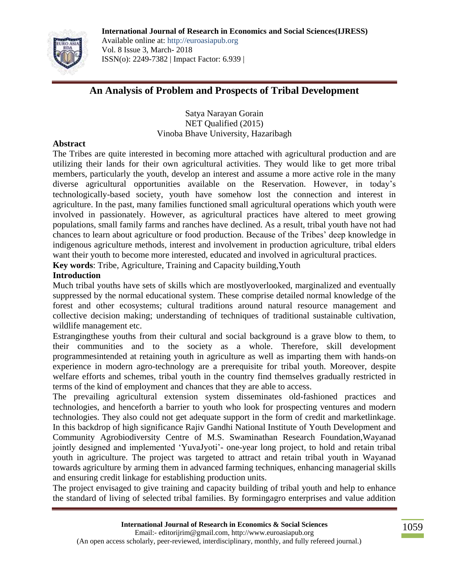

Available online at: http://euroasiapub.org Vol. 8 Issue 3, March- 2018 ISSN(o): 2249-7382 | Impact Factor: 6.939 |

# **An Analysis of Problem and Prospects of Tribal Development**

Satya Narayan Gorain NET Qualified (2015) Vinoba Bhave University, Hazaribagh

#### **Abstract**

The Tribes are quite interested in becoming more attached with agricultural production and are utilizing their lands for their own agricultural activities. They would like to get more tribal members, particularly the youth, develop an interest and assume a more active role in the many diverse agricultural opportunities available on the Reservation. However, in today's technologically-based society, youth have somehow lost the connection and interest in agriculture. In the past, many families functioned small agricultural operations which youth were involved in passionately. However, as agricultural practices have altered to meet growing populations, small family farms and ranches have declined. As a result, tribal youth have not had chances to learn about agriculture or food production. Because of the Tribes' deep knowledge in indigenous agriculture methods, interest and involvement in production agriculture, tribal elders want their youth to become more interested, educated and involved in agricultural practices.

**Key words**: Tribe, Agriculture, Training and Capacity building,Youth

### **Introduction**

Much tribal youths have sets of skills which are mostlyoverlooked, marginalized and eventually suppressed by the normal educational system. These comprise detailed normal knowledge of the forest and other ecosystems; cultural traditions around natural resource management and collective decision making; understanding of techniques of traditional sustainable cultivation, wildlife management etc.

Estrangingthese youths from their cultural and social background is a grave blow to them, to their communities and to the society as a whole. Therefore, skill development programmesintended at retaining youth in agriculture as well as imparting them with hands-on experience in modern agro-technology are a prerequisite for tribal youth. Moreover, despite welfare efforts and schemes, tribal youth in the country find themselves gradually restricted in terms of the kind of employment and chances that they are able to access.

The prevailing agricultural extension system disseminates old-fashioned practices and technologies, and henceforth a barrier to youth who look for prospecting ventures and modern technologies. They also could not get adequate support in the form of credit and marketlinkage. In this backdrop of high significance Rajiv Gandhi National Institute of Youth Development and Community Agrobiodiversity Centre of M.S. Swaminathan Research Foundation,Wayanad jointly designed and implemented 'YuvaJyoti'- one-year long project, to hold and retain tribal youth in agriculture. The project was targeted to attract and retain tribal youth in Wayanad towards agriculture by arming them in advanced farming techniques, enhancing managerial skills and ensuring credit linkage for establishing production units.

The project envisaged to give training and capacity building of tribal youth and help to enhance the standard of living of selected tribal families. By formingagro enterprises and value addition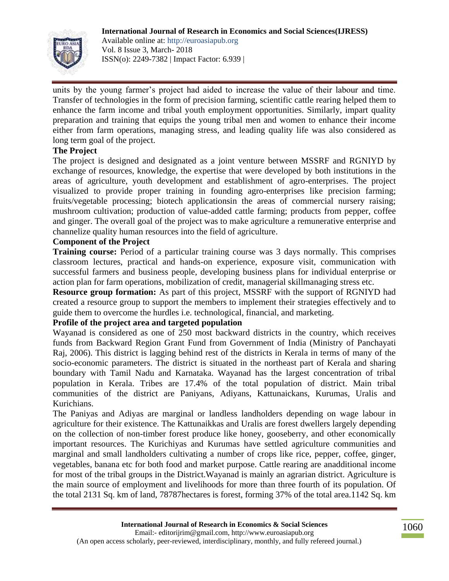

units by the young farmer's project had aided to increase the value of their labour and time. Transfer of technologies in the form of precision farming, scientific cattle rearing helped them to enhance the farm income and tribal youth employment opportunities. Similarly, impart quality preparation and training that equips the young tribal men and women to enhance their income either from farm operations, managing stress, and leading quality life was also considered as long term goal of the project.

## **The Project**

The project is designed and designated as a joint venture between MSSRF and RGNIYD by exchange of resources, knowledge, the expertise that were developed by both institutions in the areas of agriculture, youth development and establishment of agro-enterprises. The project visualized to provide proper training in founding agro-enterprises like precision farming; fruits/vegetable processing; biotech applicationsin the areas of commercial nursery raising; mushroom cultivation; production of value-added cattle farming; products from pepper, coffee and ginger. The overall goal of the project was to make agriculture a remunerative enterprise and channelize quality human resources into the field of agriculture.

## **Component of the Project**

**Training course:** Period of a particular training course was 3 days normally. This comprises classroom lectures, practical and hands-on experience, exposure visit, communication with successful farmers and business people, developing business plans for individual enterprise or action plan for farm operations, mobilization of credit, managerial skillmanaging stress etc.

**Resource group formation:** As part of this project, MSSRF with the support of RGNIYD had created a resource group to support the members to implement their strategies effectively and to guide them to overcome the hurdles i.e. technological, financial, and marketing.

### **Profile of the project area and targeted population**

Wayanad is considered as one of 250 most backward districts in the country, which receives funds from Backward Region Grant Fund from Government of India (Ministry of Panchayati Raj, 2006). This district is lagging behind rest of the districts in Kerala in terms of many of the socio-economic parameters. The district is situated in the northeast part of Kerala and sharing boundary with Tamil Nadu and Karnataka. Wayanad has the largest concentration of tribal population in Kerala. Tribes are 17.4% of the total population of district. Main tribal communities of the district are Paniyans, Adiyans, Kattunaickans, Kurumas, Uralis and Kurichians.

The Paniyas and Adiyas are marginal or landless landholders depending on wage labour in agriculture for their existence. The Kattunaikkas and Uralis are forest dwellers largely depending on the collection of non-timber forest produce like honey, gooseberry, and other economically important resources. The Kurichiyas and Kurumas have settled agriculture communities and marginal and small landholders cultivating a number of crops like rice, pepper, coffee, ginger, vegetables, banana etc for both food and market purpose. Cattle rearing are anadditional income for most of the tribal groups in the District.Wayanad is mainly an agrarian district. Agriculture is the main source of employment and livelihoods for more than three fourth of its population. Of the total 2131 Sq. km of land, 78787hectares is forest, forming 37% of the total area.1142 Sq. km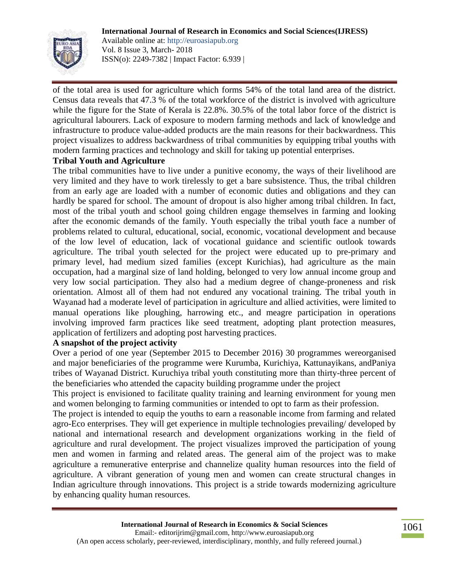

Available online at: http://euroasiapub.org Vol. 8 Issue 3, March- 2018 ISSN(o): 2249-7382 | Impact Factor: 6.939 |

of the total area is used for agriculture which forms 54% of the total land area of the district. Census data reveals that 47.3 % of the total workforce of the district is involved with agriculture while the figure for the State of Kerala is 22.8%. 30.5% of the total labor force of the district is agricultural labourers. Lack of exposure to modern farming methods and lack of knowledge and infrastructure to produce value-added products are the main reasons for their backwardness. This project visualizes to address backwardness of tribal communities by equipping tribal youths with modern farming practices and technology and skill for taking up potential enterprises.

### **Tribal Youth and Agriculture**

The tribal communities have to live under a punitive economy, the ways of their livelihood are very limited and they have to work tirelessly to get a bare subsistence. Thus, the tribal children from an early age are loaded with a number of economic duties and obligations and they can hardly be spared for school. The amount of dropout is also higher among tribal children. In fact, most of the tribal youth and school going children engage themselves in farming and looking after the economic demands of the family. Youth especially the tribal youth face a number of problems related to cultural, educational, social, economic, vocational development and because of the low level of education, lack of vocational guidance and scientific outlook towards agriculture. The tribal youth selected for the project were educated up to pre-primary and primary level, had medium sized families (except Kurichias), had agriculture as the main occupation, had a marginal size of land holding, belonged to very low annual income group and very low social participation. They also had a medium degree of change-proneness and risk orientation. Almost all of them had not endured any vocational training. The tribal youth in Wayanad had a moderate level of participation in agriculture and allied activities, were limited to manual operations like ploughing, harrowing etc., and meagre participation in operations involving improved farm practices like seed treatment, adopting plant protection measures, application of fertilizers and adopting post harvesting practices.

### **A snapshot of the project activity**

Over a period of one year (September 2015 to December 2016) 30 programmes wereorganised and major beneficiaries of the programme were Kurumba, Kurichiya, Kattunayikans, andPaniya tribes of Wayanad District. Kuruchiya tribal youth constituting more than thirty-three percent of the beneficiaries who attended the capacity building programme under the project

This project is envisioned to facilitate quality training and learning environment for young men and women belonging to farming communities or intended to opt to farm as their profession.

The project is intended to equip the youths to earn a reasonable income from farming and related agro-Eco enterprises. They will get experience in multiple technologies prevailing/ developed by national and international research and development organizations working in the field of agriculture and rural development. The project visualizes improved the participation of young men and women in farming and related areas. The general aim of the project was to make agriculture a remunerative enterprise and channelize quality human resources into the field of agriculture. A vibrant generation of young men and women can create structural changes in Indian agriculture through innovations. This project is a stride towards modernizing agriculture by enhancing quality human resources.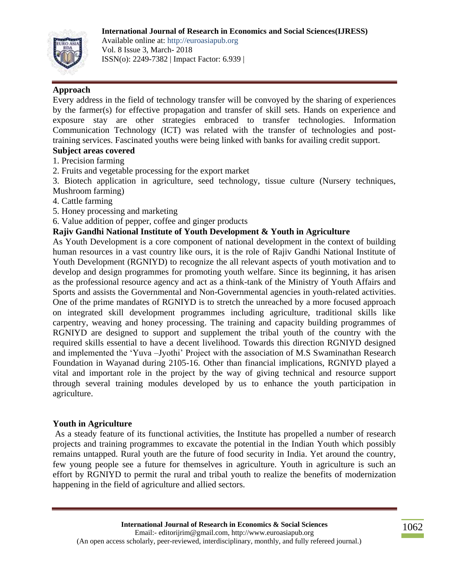

Available online at: http://euroasiapub.org Vol. 8 Issue 3, March- 2018 ISSN(o): 2249-7382 | Impact Factor: 6.939 |

### **Approach**

Every address in the field of technology transfer will be convoyed by the sharing of experiences by the farmer(s) for effective propagation and transfer of skill sets. Hands on experience and exposure stay are other strategies embraced to transfer technologies. Information Communication Technology (ICT) was related with the transfer of technologies and posttraining services. Fascinated youths were being linked with banks for availing credit support.

### **Subject areas covered**

- 1. Precision farming
- 2. Fruits and vegetable processing for the export market
- 3. Biotech application in agriculture, seed technology, tissue culture (Nursery techniques, Mushroom farming)
- 4. Cattle farming
- 5. Honey processing and marketing
- 6. Value addition of pepper, coffee and ginger products

### **Rajiv Gandhi National Institute of Youth Development & Youth in Agriculture**

As Youth Development is a core component of national development in the context of building human resources in a vast country like ours, it is the role of Rajiv Gandhi National Institute of Youth Development (RGNIYD) to recognize the all relevant aspects of youth motivation and to develop and design programmes for promoting youth welfare. Since its beginning, it has arisen as the professional resource agency and act as a think-tank of the Ministry of Youth Affairs and Sports and assists the Governmental and Non-Governmental agencies in youth-related activities. One of the prime mandates of RGNIYD is to stretch the unreached by a more focused approach on integrated skill development programmes including agriculture, traditional skills like carpentry, weaving and honey processing. The training and capacity building programmes of RGNIYD are designed to support and supplement the tribal youth of the country with the required skills essential to have a decent livelihood. Towards this direction RGNIYD designed and implemented the 'Yuva –Jyothi' Project with the association of M.S Swaminathan Research Foundation in Wayanad during 2105-16. Other than financial implications, RGNIYD played a vital and important role in the project by the way of giving technical and resource support through several training modules developed by us to enhance the youth participation in agriculture.

#### **Youth in Agriculture**

As a steady feature of its functional activities, the Institute has propelled a number of research projects and training programmes to excavate the potential in the Indian Youth which possibly remains untapped. Rural youth are the future of food security in India. Yet around the country, few young people see a future for themselves in agriculture. Youth in agriculture is such an effort by RGNIYD to permit the rural and tribal youth to realize the benefits of modernization happening in the field of agriculture and allied sectors.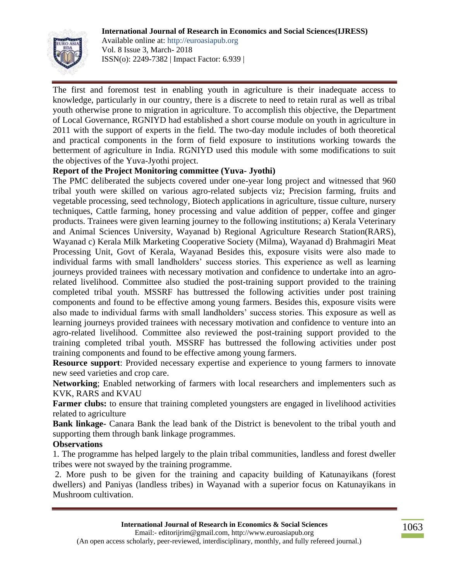

Available online at: http://euroasiapub.org Vol. 8 Issue 3, March- 2018 ISSN(o): 2249-7382 | Impact Factor: 6.939 |

The first and foremost test in enabling youth in agriculture is their inadequate access to knowledge, particularly in our country, there is a discrete to need to retain rural as well as tribal youth otherwise prone to migration in agriculture. To accomplish this objective, the Department of Local Governance, RGNIYD had established a short course module on youth in agriculture in 2011 with the support of experts in the field. The two-day module includes of both theoretical and practical components in the form of field exposure to institutions working towards the betterment of agriculture in India. RGNIYD used this module with some modifications to suit the objectives of the Yuva-Jyothi project.

#### **Report of the Project Monitoring committee (Yuva- Jyothi)**

The PMC deliberated the subjects covered under one-year long project and witnessed that 960 tribal youth were skilled on various agro-related subjects viz; Precision farming, fruits and vegetable processing, seed technology, Biotech applications in agriculture, tissue culture, nursery techniques, Cattle farming, honey processing and value addition of pepper, coffee and ginger products. Trainees were given learning journey to the following institutions; a) Kerala Veterinary and Animal Sciences University, Wayanad b) Regional Agriculture Research Station(RARS), Wayanad c) Kerala Milk Marketing Cooperative Society (Milma), Wayanad d) Brahmagiri Meat Processing Unit, Govt of Kerala, Wayanad Besides this, exposure visits were also made to individual farms with small landholders' success stories. This experience as well as learning journeys provided trainees with necessary motivation and confidence to undertake into an agrorelated livelihood. Committee also studied the post-training support provided to the training completed tribal youth. MSSRF has buttressed the following activities under post training components and found to be effective among young farmers. Besides this, exposure visits were also made to individual farms with small landholders' success stories. This exposure as well as learning journeys provided trainees with necessary motivation and confidence to venture into an agro-related livelihood. Committee also reviewed the post-training support provided to the training completed tribal youth. MSSRF has buttressed the following activities under post training components and found to be effective among young farmers.

**Resource support**: Provided necessary expertise and experience to young farmers to innovate new seed varieties and crop care.

**Networking**; Enabled networking of farmers with local researchers and implementers such as KVK, RARS and KVAU

**Farmer clubs:** to ensure that training completed youngsters are engaged in livelihood activities related to agriculture

**Bank linkage-** Canara Bank the lead bank of the District is benevolent to the tribal youth and supporting them through bank linkage programmes.

#### **Observations**

1. The programme has helped largely to the plain tribal communities, landless and forest dweller tribes were not swayed by the training programme.

2. More push to be given for the training and capacity building of Katunayikans (forest dwellers) and Paniyas (landless tribes) in Wayanad with a superior focus on Katunayikans in Mushroom cultivation.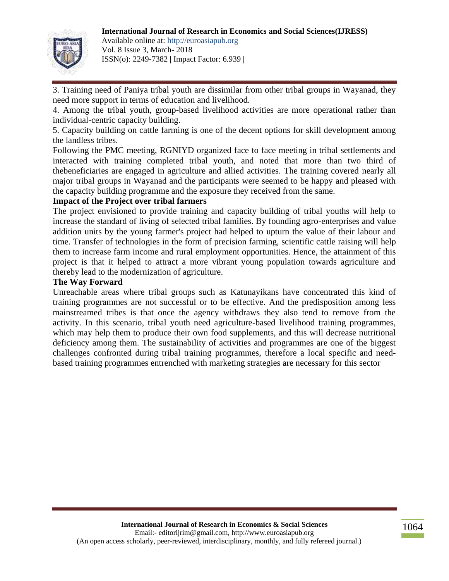

Available online at: http://euroasiapub.org Vol. 8 Issue 3, March- 2018 ISSN(o): 2249-7382 | Impact Factor: 6.939 |

3. Training need of Paniya tribal youth are dissimilar from other tribal groups in Wayanad, they need more support in terms of education and livelihood.

4. Among the tribal youth, group-based livelihood activities are more operational rather than individual-centric capacity building.

5. Capacity building on cattle farming is one of the decent options for skill development among the landless tribes.

Following the PMC meeting, RGNIYD organized face to face meeting in tribal settlements and interacted with training completed tribal youth, and noted that more than two third of thebeneficiaries are engaged in agriculture and allied activities. The training covered nearly all major tribal groups in Wayanad and the participants were seemed to be happy and pleased with the capacity building programme and the exposure they received from the same.

#### **Impact of the Project over tribal farmers**

The project envisioned to provide training and capacity building of tribal youths will help to increase the standard of living of selected tribal families. By founding agro-enterprises and value addition units by the young farmer's project had helped to upturn the value of their labour and time. Transfer of technologies in the form of precision farming, scientific cattle raising will help them to increase farm income and rural employment opportunities. Hence, the attainment of this project is that it helped to attract a more vibrant young population towards agriculture and thereby lead to the modernization of agriculture.

#### **The Way Forward**

Unreachable areas where tribal groups such as Katunayikans have concentrated this kind of training programmes are not successful or to be effective. And the predisposition among less mainstreamed tribes is that once the agency withdraws they also tend to remove from the activity. In this scenario, tribal youth need agriculture-based livelihood training programmes, which may help them to produce their own food supplements, and this will decrease nutritional deficiency among them. The sustainability of activities and programmes are one of the biggest challenges confronted during tribal training programmes, therefore a local specific and needbased training programmes entrenched with marketing strategies are necessary for this sector